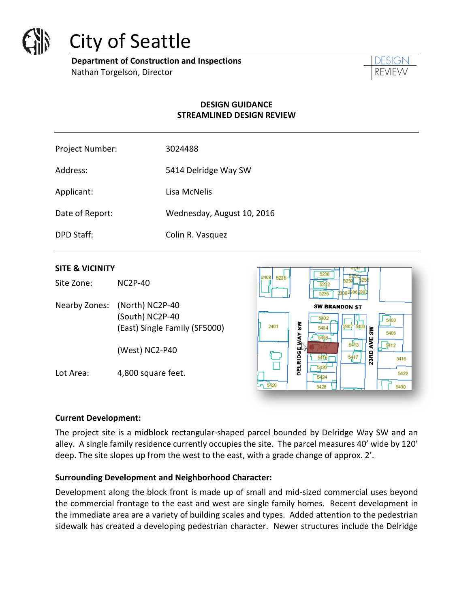

# City of Seattle

**Department of Construction and Inspections**  Nathan Torgelson, Director

## **DESIGN GUIDANCE STREAMLINED DESIGN REVIEW**

| Project Number: | 3024488                    |
|-----------------|----------------------------|
| Address:        | 5414 Delridge Way SW       |
| Applicant:      | Lisa McNelis               |
| Date of Report: | Wednesday, August 10, 2016 |
| DPD Staff:      | Colin R. Vasquez           |
|                 |                            |

## **SITE & VICINITY**

Site Zone: NC2P-40

Nearby Zones: (North) NC2P-40 (South) NC2P-40 (East) Single Family (SF5000)

(West) NC2-P40

Lot Area: 4,800 square feet.



#### **Current Development:**

The project site is a midblock rectangular-shaped parcel bounded by Delridge Way SW and an alley. A single family residence currently occupies the site. The parcel measures 40' wide by 120' deep. The site slopes up from the west to the east, with a grade change of approx. 2'.

## **Surrounding Development and Neighborhood Character:**

Development along the block front is made up of small and mid-sized commercial uses beyond the commercial frontage to the east and west are single family homes. Recent development in the immediate area are a variety of building scales and types. Added attention to the pedestrian sidewalk has created a developing pedestrian character. Newer structures include the Delridge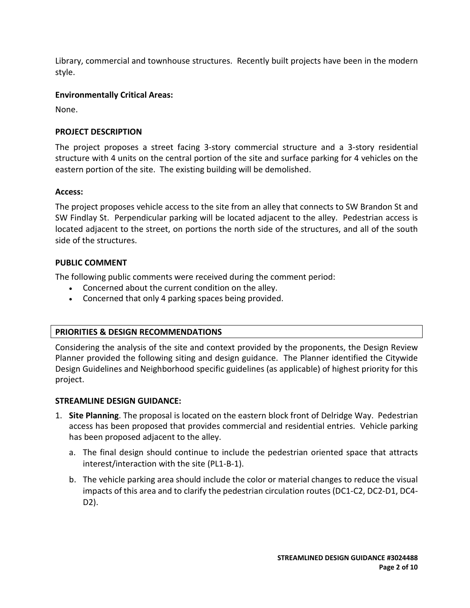Library, commercial and townhouse structures. Recently built projects have been in the modern style.

## **Environmentally Critical Areas:**

None.

## **PROJECT DESCRIPTION**

The project proposes a street facing 3-story commercial structure and a 3-story residential structure with 4 units on the central portion of the site and surface parking for 4 vehicles on the eastern portion of the site. The existing building will be demolished.

## **Access:**

The project proposes vehicle access to the site from an alley that connects to SW Brandon St and SW Findlay St. Perpendicular parking will be located adjacent to the alley. Pedestrian access is located adjacent to the street, on portions the north side of the structures, and all of the south side of the structures.

## **PUBLIC COMMENT**

The following public comments were received during the comment period:

- Concerned about the current condition on the alley.
- Concerned that only 4 parking spaces being provided.

# **PRIORITIES & DESIGN RECOMMENDATIONS**

Considering the analysis of the site and context provided by the proponents, the Design Review Planner provided the following siting and design guidance. The Planner identified the Citywide Design Guidelines and Neighborhood specific guidelines (as applicable) of highest priority for this project.

# **STREAMLINE DESIGN GUIDANCE:**

- 1. **Site Planning**. The proposal is located on the eastern block front of Delridge Way. Pedestrian access has been proposed that provides commercial and residential entries. Vehicle parking has been proposed adjacent to the alley.
	- a. The final design should continue to include the pedestrian oriented space that attracts interest/interaction with the site (PL1-B-1).
	- b. The vehicle parking area should include the color or material changes to reduce the visual impacts of this area and to clarify the pedestrian circulation routes (DC1-C2, DC2-D1, DC4- D2).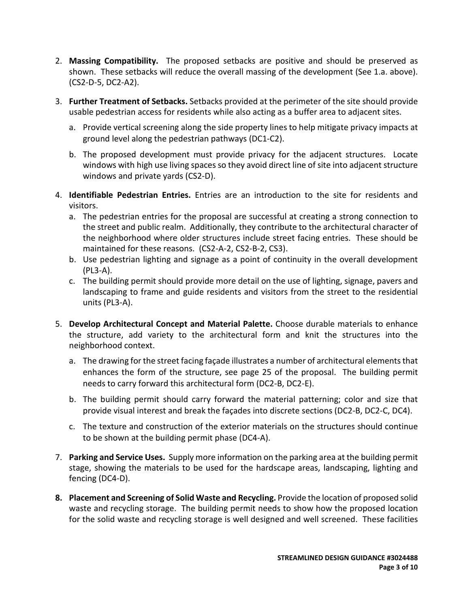- 2. **Massing Compatibility.** The proposed setbacks are positive and should be preserved as shown. These setbacks will reduce the overall massing of the development (See 1.a. above). (CS2-D-5, DC2-A2).
- 3. **Further Treatment of Setbacks.** Setbacks provided at the perimeter of the site should provide usable pedestrian access for residents while also acting as a buffer area to adjacent sites.
	- a. Provide vertical screening along the side property lines to help mitigate privacy impacts at ground level along the pedestrian pathways (DC1-C2).
	- b. The proposed development must provide privacy for the adjacent structures. Locate windows with high use living spaces so they avoid direct line of site into adjacent structure windows and private yards (CS2-D).
- 4. **Identifiable Pedestrian Entries.** Entries are an introduction to the site for residents and visitors.
	- a. The pedestrian entries for the proposal are successful at creating a strong connection to the street and public realm. Additionally, they contribute to the architectural character of the neighborhood where older structures include street facing entries. These should be maintained for these reasons. (CS2-A-2, CS2-B-2, CS3).
	- b. Use pedestrian lighting and signage as a point of continuity in the overall development (PL3-A).
	- c. The building permit should provide more detail on the use of lighting, signage, pavers and landscaping to frame and guide residents and visitors from the street to the residential units (PL3-A).
- 5. **Develop Architectural Concept and Material Palette.** Choose durable materials to enhance the structure, add variety to the architectural form and knit the structures into the neighborhood context.
	- a. The drawing for the street facing façade illustrates a number of architectural elements that enhances the form of the structure, see page 25 of the proposal. The building permit needs to carry forward this architectural form (DC2-B, DC2-E).
	- b. The building permit should carry forward the material patterning; color and size that provide visual interest and break the façades into discrete sections (DC2-B, DC2-C, DC4).
	- c. The texture and construction of the exterior materials on the structures should continue to be shown at the building permit phase (DC4-A).
- 7. **Parking and Service Uses.** Supply more information on the parking area at the building permit stage, showing the materials to be used for the hardscape areas, landscaping, lighting and fencing (DC4-D).
- **8. Placement and Screening of Solid Waste and Recycling.** Provide the location of proposed solid waste and recycling storage. The building permit needs to show how the proposed location for the solid waste and recycling storage is well designed and well screened. These facilities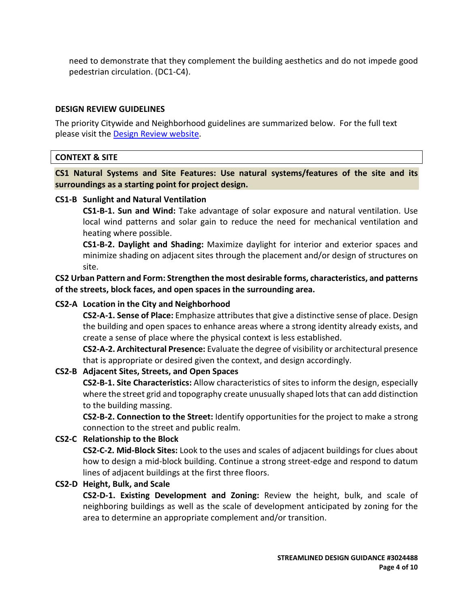need to demonstrate that they complement the building aesthetics and do not impede good pedestrian circulation. (DC1-C4).

#### **DESIGN REVIEW GUIDELINES**

The priority Citywide and Neighborhood guidelines are summarized below. For the full text please visit the [Design Review website.](https://www.seattle.gov/dpd/aboutus/whoweare/designreview/designguidelines/default.htm)

## **CONTEXT & SITE**

**CS1 Natural Systems and Site Features: Use natural systems/features of the site and its surroundings as a starting point for project design.**

#### **CS1-B Sunlight and Natural Ventilation**

**CS1-B-1. Sun and Wind:** Take advantage of solar exposure and natural ventilation. Use local wind patterns and solar gain to reduce the need for mechanical ventilation and heating where possible.

**CS1-B-2. Daylight and Shading:** Maximize daylight for interior and exterior spaces and minimize shading on adjacent sites through the placement and/or design of structures on site.

**CS2 Urban Pattern and Form: Strengthen the most desirable forms, characteristics, and patterns of the streets, block faces, and open spaces in the surrounding area.**

## **CS2-A Location in the City and Neighborhood**

**CS2-A-1. Sense of Place:** Emphasize attributes that give a distinctive sense of place. Design the building and open spaces to enhance areas where a strong identity already exists, and create a sense of place where the physical context is less established.

**CS2-A-2. Architectural Presence:** Evaluate the degree of visibility or architectural presence that is appropriate or desired given the context, and design accordingly.

## **CS2-B Adjacent Sites, Streets, and Open Spaces**

**CS2-B-1. Site Characteristics:** Allow characteristics of sites to inform the design, especially where the street grid and topography create unusually shaped lots that can add distinction to the building massing.

**CS2-B-2. Connection to the Street:** Identify opportunities for the project to make a strong connection to the street and public realm.

## **CS2-C Relationship to the Block**

**CS2-C-2. Mid-Block Sites:** Look to the uses and scales of adjacent buildings for clues about how to design a mid-block building. Continue a strong street-edge and respond to datum lines of adjacent buildings at the first three floors.

## **CS2-D Height, Bulk, and Scale**

**CS2-D-1. Existing Development and Zoning:** Review the height, bulk, and scale of neighboring buildings as well as the scale of development anticipated by zoning for the area to determine an appropriate complement and/or transition.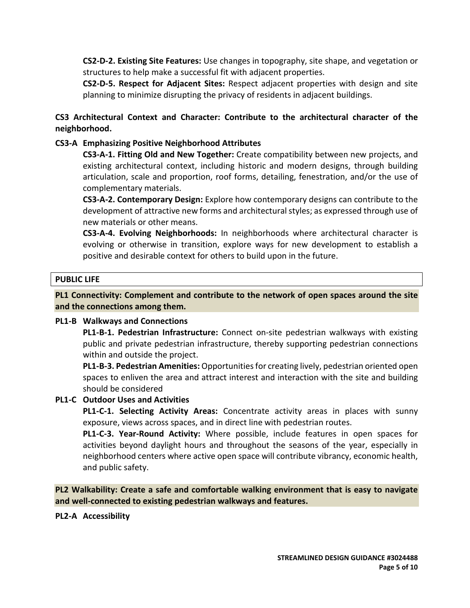**CS2-D-2. Existing Site Features:** Use changes in topography, site shape, and vegetation or structures to help make a successful fit with adjacent properties.

**CS2-D-5. Respect for Adjacent Sites:** Respect adjacent properties with design and site planning to minimize disrupting the privacy of residents in adjacent buildings.

# **CS3 Architectural Context and Character: Contribute to the architectural character of the neighborhood.**

## **CS3-A Emphasizing Positive Neighborhood Attributes**

**CS3-A-1. Fitting Old and New Together:** Create compatibility between new projects, and existing architectural context, including historic and modern designs, through building articulation, scale and proportion, roof forms, detailing, fenestration, and/or the use of complementary materials.

**CS3-A-2. Contemporary Design:** Explore how contemporary designs can contribute to the development of attractive new forms and architectural styles; as expressed through use of new materials or other means.

**CS3-A-4. Evolving Neighborhoods:** In neighborhoods where architectural character is evolving or otherwise in transition, explore ways for new development to establish a positive and desirable context for others to build upon in the future.

## **PUBLIC LIFE**

**PL1 Connectivity: Complement and contribute to the network of open spaces around the site and the connections among them.**

#### **PL1-B Walkways and Connections**

**PL1-B-1. Pedestrian Infrastructure:** Connect on-site pedestrian walkways with existing public and private pedestrian infrastructure, thereby supporting pedestrian connections within and outside the project.

**PL1-B-3. Pedestrian Amenities:** Opportunities for creating lively, pedestrian oriented open spaces to enliven the area and attract interest and interaction with the site and building should be considered

## **PL1-C Outdoor Uses and Activities**

**PL1-C-1. Selecting Activity Areas:** Concentrate activity areas in places with sunny exposure, views across spaces, and in direct line with pedestrian routes.

**PL1-C-3. Year-Round Activity:** Where possible, include features in open spaces for activities beyond daylight hours and throughout the seasons of the year, especially in neighborhood centers where active open space will contribute vibrancy, economic health, and public safety.

**PL2 Walkability: Create a safe and comfortable walking environment that is easy to navigate and well-connected to existing pedestrian walkways and features.**

**PL2-A Accessibility**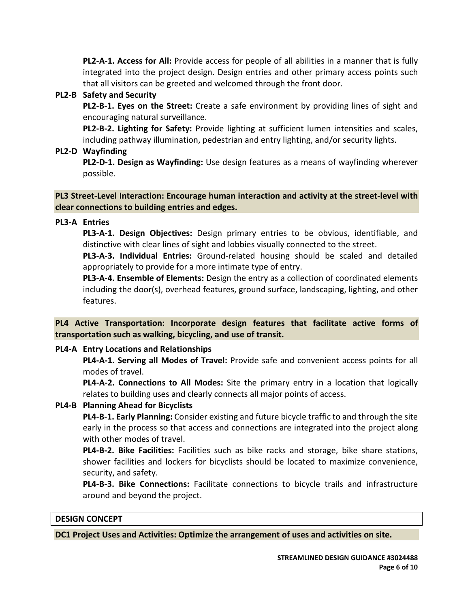**PL2-A-1. Access for All:** Provide access for people of all abilities in a manner that is fully integrated into the project design. Design entries and other primary access points such that all visitors can be greeted and welcomed through the front door.

## **PL2-B Safety and Security**

**PL2-B-1. Eyes on the Street:** Create a safe environment by providing lines of sight and encouraging natural surveillance.

**PL2-B-2. Lighting for Safety:** Provide lighting at sufficient lumen intensities and scales, including pathway illumination, pedestrian and entry lighting, and/or security lights.

## **PL2-D Wayfinding**

**PL2-D-1. Design as Wayfinding:** Use design features as a means of wayfinding wherever possible.

## **PL3 Street-Level Interaction: Encourage human interaction and activity at the street-level with clear connections to building entries and edges.**

## **PL3-A Entries**

**PL3-A-1. Design Objectives:** Design primary entries to be obvious, identifiable, and distinctive with clear lines of sight and lobbies visually connected to the street.

**PL3-A-3. Individual Entries:** Ground-related housing should be scaled and detailed appropriately to provide for a more intimate type of entry.

**PL3-A-4. Ensemble of Elements:** Design the entry as a collection of coordinated elements including the door(s), overhead features, ground surface, landscaping, lighting, and other features.

**PL4 Active Transportation: Incorporate design features that facilitate active forms of transportation such as walking, bicycling, and use of transit.**

# **PL4-A Entry Locations and Relationships**

**PL4-A-1. Serving all Modes of Travel:** Provide safe and convenient access points for all modes of travel.

**PL4-A-2. Connections to All Modes:** Site the primary entry in a location that logically relates to building uses and clearly connects all major points of access.

# **PL4-B Planning Ahead for Bicyclists**

**PL4-B-1. Early Planning:** Consider existing and future bicycle traffic to and through the site early in the process so that access and connections are integrated into the project along with other modes of travel.

**PL4-B-2. Bike Facilities:** Facilities such as bike racks and storage, bike share stations, shower facilities and lockers for bicyclists should be located to maximize convenience, security, and safety.

**PL4-B-3. Bike Connections:** Facilitate connections to bicycle trails and infrastructure around and beyond the project.

## **DESIGN CONCEPT**

**DC1 Project Uses and Activities: Optimize the arrangement of uses and activities on site.**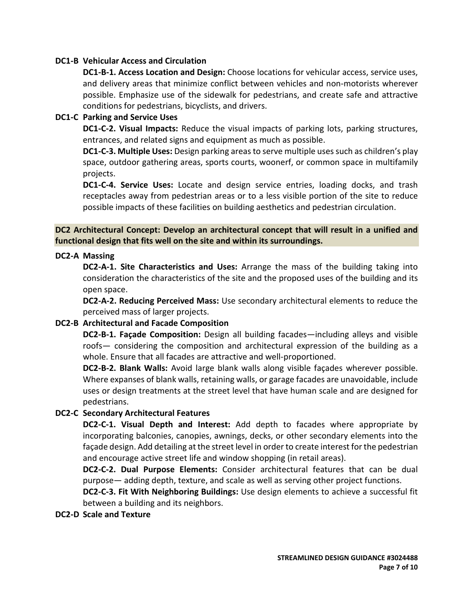## **DC1-B Vehicular Access and Circulation**

**DC1-B-1. Access Location and Design:** Choose locations for vehicular access, service uses, and delivery areas that minimize conflict between vehicles and non-motorists wherever possible. Emphasize use of the sidewalk for pedestrians, and create safe and attractive conditions for pedestrians, bicyclists, and drivers.

#### **DC1-C Parking and Service Uses**

**DC1-C-2. Visual Impacts:** Reduce the visual impacts of parking lots, parking structures, entrances, and related signs and equipment as much as possible.

**DC1-C-3. Multiple Uses:** Design parking areas to serve multiple uses such as children's play space, outdoor gathering areas, sports courts, woonerf, or common space in multifamily projects.

**DC1-C-4. Service Uses:** Locate and design service entries, loading docks, and trash receptacles away from pedestrian areas or to a less visible portion of the site to reduce possible impacts of these facilities on building aesthetics and pedestrian circulation.

## **DC2 Architectural Concept: Develop an architectural concept that will result in a unified and functional design that fits well on the site and within its surroundings.**

#### **DC2-A Massing**

**DC2-A-1. Site Characteristics and Uses:** Arrange the mass of the building taking into consideration the characteristics of the site and the proposed uses of the building and its open space.

**DC2-A-2. Reducing Perceived Mass:** Use secondary architectural elements to reduce the perceived mass of larger projects.

## **DC2-B Architectural and Facade Composition**

**DC2-B-1. Façade Composition:** Design all building facades—including alleys and visible roofs— considering the composition and architectural expression of the building as a whole. Ensure that all facades are attractive and well-proportioned.

**DC2-B-2. Blank Walls:** Avoid large blank walls along visible façades wherever possible. Where expanses of blank walls, retaining walls, or garage facades are unavoidable, include uses or design treatments at the street level that have human scale and are designed for pedestrians.

## **DC2-C Secondary Architectural Features**

**DC2-C-1. Visual Depth and Interest:** Add depth to facades where appropriate by incorporating balconies, canopies, awnings, decks, or other secondary elements into the façade design. Add detailing at the street level in order to create interest for the pedestrian and encourage active street life and window shopping (in retail areas).

**DC2-C-2. Dual Purpose Elements:** Consider architectural features that can be dual purpose— adding depth, texture, and scale as well as serving other project functions.

**DC2-C-3. Fit With Neighboring Buildings:** Use design elements to achieve a successful fit between a building and its neighbors.

**DC2-D Scale and Texture**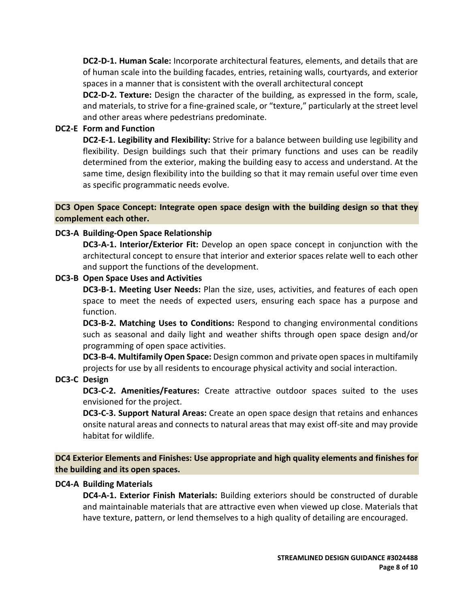**DC2-D-1. Human Scale:** Incorporate architectural features, elements, and details that are of human scale into the building facades, entries, retaining walls, courtyards, and exterior spaces in a manner that is consistent with the overall architectural concept

**DC2-D-2. Texture:** Design the character of the building, as expressed in the form, scale, and materials, to strive for a fine-grained scale, or "texture," particularly at the street level and other areas where pedestrians predominate.

## **DC2-E Form and Function**

**DC2-E-1. Legibility and Flexibility:** Strive for a balance between building use legibility and flexibility. Design buildings such that their primary functions and uses can be readily determined from the exterior, making the building easy to access and understand. At the same time, design flexibility into the building so that it may remain useful over time even as specific programmatic needs evolve.

## **DC3 Open Space Concept: Integrate open space design with the building design so that they complement each other.**

## **DC3-A Building-Open Space Relationship**

**DC3-A-1. Interior/Exterior Fit:** Develop an open space concept in conjunction with the architectural concept to ensure that interior and exterior spaces relate well to each other and support the functions of the development.

## **DC3-B Open Space Uses and Activities**

**DC3-B-1. Meeting User Needs:** Plan the size, uses, activities, and features of each open space to meet the needs of expected users, ensuring each space has a purpose and function.

**DC3-B-2. Matching Uses to Conditions:** Respond to changing environmental conditions such as seasonal and daily light and weather shifts through open space design and/or programming of open space activities.

**DC3-B-4. Multifamily Open Space:** Design common and private open spaces in multifamily projects for use by all residents to encourage physical activity and social interaction.

## **DC3-C Design**

**DC3-C-2. Amenities/Features:** Create attractive outdoor spaces suited to the uses envisioned for the project.

**DC3-C-3. Support Natural Areas:** Create an open space design that retains and enhances onsite natural areas and connects to natural areas that may exist off-site and may provide habitat for wildlife.

**DC4 Exterior Elements and Finishes: Use appropriate and high quality elements and finishes for the building and its open spaces.**

## **DC4-A Building Materials**

**DC4-A-1. Exterior Finish Materials:** Building exteriors should be constructed of durable and maintainable materials that are attractive even when viewed up close. Materials that have texture, pattern, or lend themselves to a high quality of detailing are encouraged.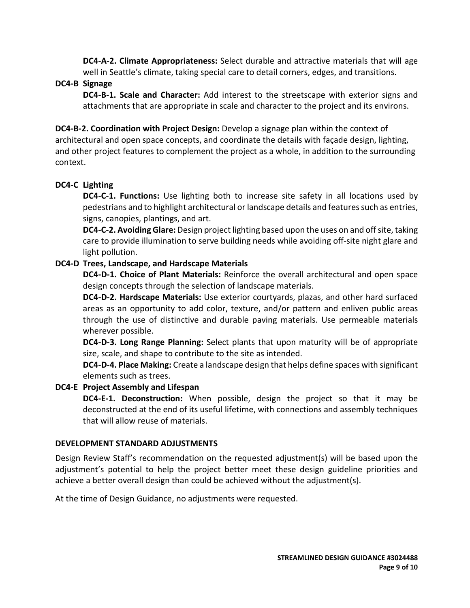**DC4-A-2. Climate Appropriateness:** Select durable and attractive materials that will age well in Seattle's climate, taking special care to detail corners, edges, and transitions.

## **DC4-B Signage**

**DC4-B-1. Scale and Character:** Add interest to the streetscape with exterior signs and attachments that are appropriate in scale and character to the project and its environs.

**DC4-B-2. Coordination with Project Design:** Develop a signage plan within the context of architectural and open space concepts, and coordinate the details with façade design, lighting, and other project features to complement the project as a whole, in addition to the surrounding context.

## **DC4-C Lighting**

**DC4-C-1. Functions:** Use lighting both to increase site safety in all locations used by pedestrians and to highlight architectural or landscape details and features such as entries, signs, canopies, plantings, and art.

**DC4-C-2. Avoiding Glare:** Design project lighting based upon the uses on and off site, taking care to provide illumination to serve building needs while avoiding off-site night glare and light pollution.

## **DC4-D Trees, Landscape, and Hardscape Materials**

**DC4-D-1. Choice of Plant Materials:** Reinforce the overall architectural and open space design concepts through the selection of landscape materials.

**DC4-D-2. Hardscape Materials:** Use exterior courtyards, plazas, and other hard surfaced areas as an opportunity to add color, texture, and/or pattern and enliven public areas through the use of distinctive and durable paving materials. Use permeable materials wherever possible.

**DC4-D-3. Long Range Planning:** Select plants that upon maturity will be of appropriate size, scale, and shape to contribute to the site as intended.

**DC4-D-4. Place Making:** Create a landscape design that helps define spaces with significant elements such as trees.

## **DC4-E Project Assembly and Lifespan**

**DC4-E-1. Deconstruction:** When possible, design the project so that it may be deconstructed at the end of its useful lifetime, with connections and assembly techniques that will allow reuse of materials.

## **DEVELOPMENT STANDARD ADJUSTMENTS**

Design Review Staff's recommendation on the requested adjustment(s) will be based upon the adjustment's potential to help the project better meet these design guideline priorities and achieve a better overall design than could be achieved without the adjustment(s).

At the time of Design Guidance, no adjustments were requested.